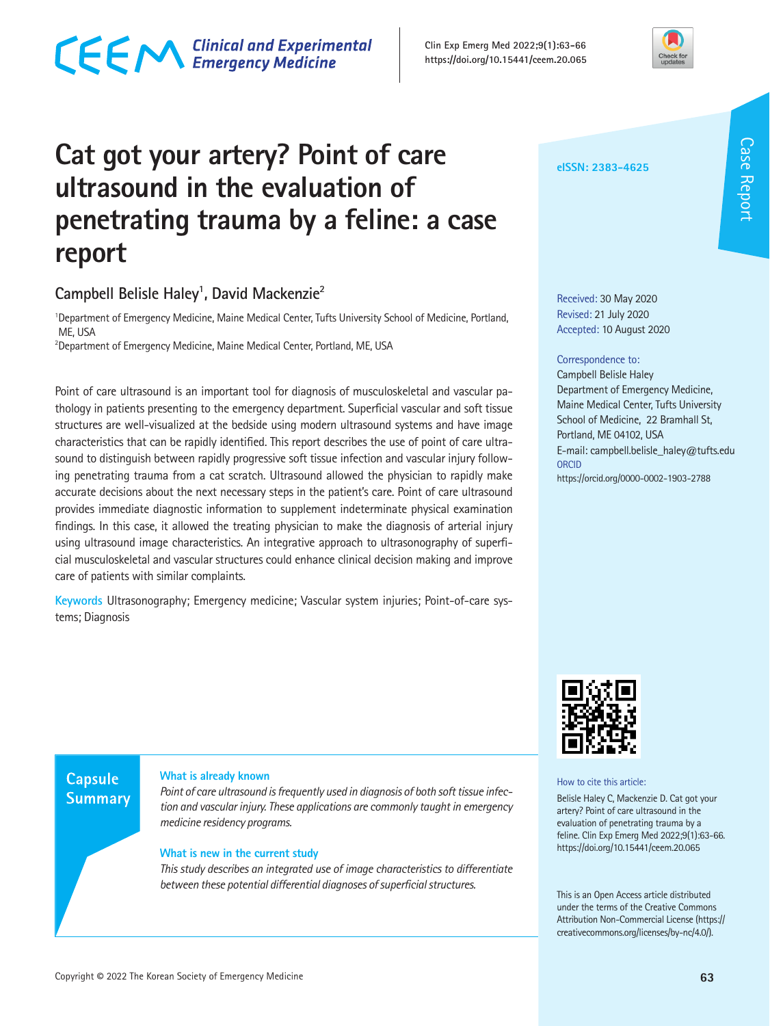**What is already known**

**Capsule Summary** 

*medicine residency programs.*

**What is new in the current study**

### **Cat got your artery? Point of care ultrasound in the evaluation of penetrating trauma by a feline: a case report**

### Campbell Belisle Haley<sup>1</sup>, David Mackenzie<sup>2</sup>

<sup>1</sup>Department of Emergency Medicine, Maine Medical Center, Tufts University School of Medicine, Portland, ME, USA

<sup>2</sup>Department of Emergency Medicine, Maine Medical Center, Portland, ME, USA

Point of care ultrasound is an important tool for diagnosis of musculoskeletal and vascular pathology in patients presenting to the emergency department. Superficial vascular and soft tissue structures are well-visualized at the bedside using modern ultrasound systems and have image characteristics that can be rapidly identified. This report describes the use of point of care ultrasound to distinguish between rapidly progressive soft tissue infection and vascular injury following penetrating trauma from a cat scratch. Ultrasound allowed the physician to rapidly make accurate decisions about the next necessary steps in the patient's care. Point of care ultrasound provides immediate diagnostic information to supplement indeterminate physical examination findings. In this case, it allowed the treating physician to make the diagnosis of arterial injury using ultrasound image characteristics. An integrative approach to ultrasonography of superficial musculoskeletal and vascular structures could enhance clinical decision making and improve care of patients with similar complaints.

**Keywords** Ultrasonography; Emergency medicine; Vascular system injuries; Point-of-care systems; Diagnosis

> *Point of care ultrasound is frequently used in diagnosis of both soft tissue infection and vascular injury. These applications are commonly taught in emergency*

> *This study describes an integrated use of image characteristics to differentiate between these potential differential diagnoses of superficial structures.*

#### **eISSN: 2383-4625**

**Clin Exp Emerg Med 2022;9(1):63-66 https://doi.org/10.15441/ceem.20.065**

> Received: 30 May 2020 Revised: 21 July 2020 Accepted: 10 August 2020

#### Correspondence to:

Campbell Belisle Haley Department of Emergency Medicine, Maine Medical Center, Tufts University School of Medicine, 22 Bramhall St, Portland, ME 04102, USA E-mail: campbell.belisle\_haley@tufts.edu **ORCID** https://orcid.org/0000-0002-1903-2788



Belisle Haley C, Mackenzie D. Cat got your artery? Point of care ultrasound in the evaluation of penetrating trauma by a feline. Clin Exp Emerg Med 2022;9(1):63-66.

https://doi.org/10.15441/ceem.20.065

This is an Open Access article distributed under the terms of the Creative Commons Attribution Non-Commercial License (https:// creativecommons.org/licenses/by-nc/4.0/).



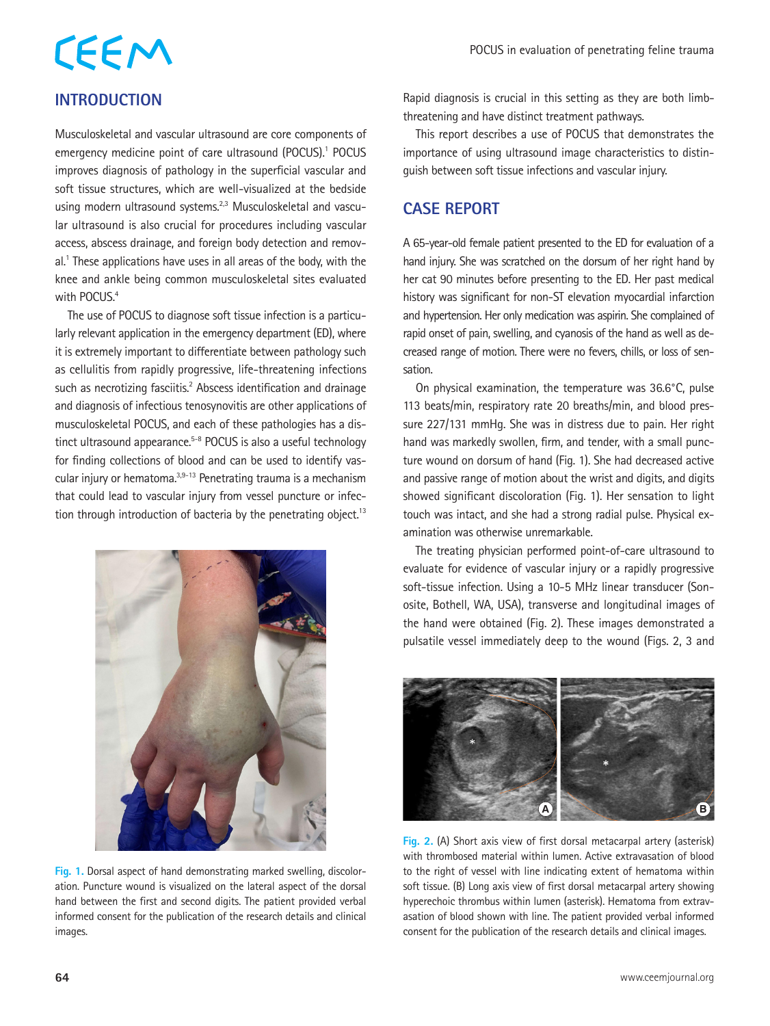# **CEEM**

**INTRODUCTION**

Musculoskeletal and vascular ultrasound are core components of emergency medicine point of care ultrasound (POCUS).<sup>1</sup> POCUS improves diagnosis of pathology in the superficial vascular and soft tissue structures, which are well-visualized at the bedside using modern ultrasound systems.<sup>2,3</sup> Musculoskeletal and vascular ultrasound is also crucial for procedures including vascular access, abscess drainage, and foreign body detection and removal.<sup>1</sup> These applications have uses in all areas of the body, with the knee and ankle being common musculoskeletal sites evaluated with POCUS.<sup>4</sup>

The use of POCUS to diagnose soft tissue infection is a particularly relevant application in the emergency department (ED), where it is extremely important to differentiate between pathology such as cellulitis from rapidly progressive, life-threatening infections such as necrotizing fasciitis.<sup>2</sup> Abscess identification and drainage and diagnosis of infectious tenosynovitis are other applications of musculoskeletal POCUS, and each of these pathologies has a distinct ultrasound appearance.<sup>5-8</sup> POCUS is also a useful technology for finding collections of blood and can be used to identify vascular injury or hematoma. $3,9-13$  Penetrating trauma is a mechanism that could lead to vascular injury from vessel puncture or infection through introduction of bacteria by the penetrating object.<sup>13</sup>



**Fig. 1.** Dorsal aspect of hand demonstrating marked swelling, discoloration. Puncture wound is visualized on the lateral aspect of the dorsal hand between the first and second digits. The patient provided verbal informed consent for the publication of the research details and clinical images.

Rapid diagnosis is crucial in this setting as they are both limbthreatening and have distinct treatment pathways.

This report describes a use of POCUS that demonstrates the importance of using ultrasound image characteristics to distinguish between soft tissue infections and vascular injury.

### **CASE REPORT**

A 65-year-old female patient presented to the ED for evaluation of a hand injury. She was scratched on the dorsum of her right hand by her cat 90 minutes before presenting to the ED. Her past medical history was significant for non-ST elevation myocardial infarction and hypertension. Her only medication was aspirin. She complained of rapid onset of pain, swelling, and cyanosis of the hand as well as decreased range of motion. There were no fevers, chills, or loss of sensation.

On physical examination, the temperature was 36.6°C, pulse 113 beats/min, respiratory rate 20 breaths/min, and blood pressure 227/131 mmHg. She was in distress due to pain. Her right hand was markedly swollen, firm, and tender, with a small puncture wound on dorsum of hand (Fig. 1). She had decreased active and passive range of motion about the wrist and digits, and digits showed significant discoloration (Fig. 1). Her sensation to light touch was intact, and she had a strong radial pulse. Physical examination was otherwise unremarkable.

The treating physician performed point-of-care ultrasound to evaluate for evidence of vascular injury or a rapidly progressive soft-tissue infection. Using a 10-5 MHz linear transducer (Sonosite, Bothell, WA, USA), transverse and longitudinal images of the hand were obtained (Fig. 2). These images demonstrated a pulsatile vessel immediately deep to the wound (Figs. 2, 3 and



**Fig. 2.** (A) Short axis view of first dorsal metacarpal artery (asterisk) with thrombosed material within lumen. Active extravasation of blood to the right of vessel with line indicating extent of hematoma within soft tissue. (B) Long axis view of first dorsal metacarpal artery showing hyperechoic thrombus within lumen (asterisk). Hematoma from extravasation of blood shown with line. The patient provided verbal informed consent for the publication of the research details and clinical images.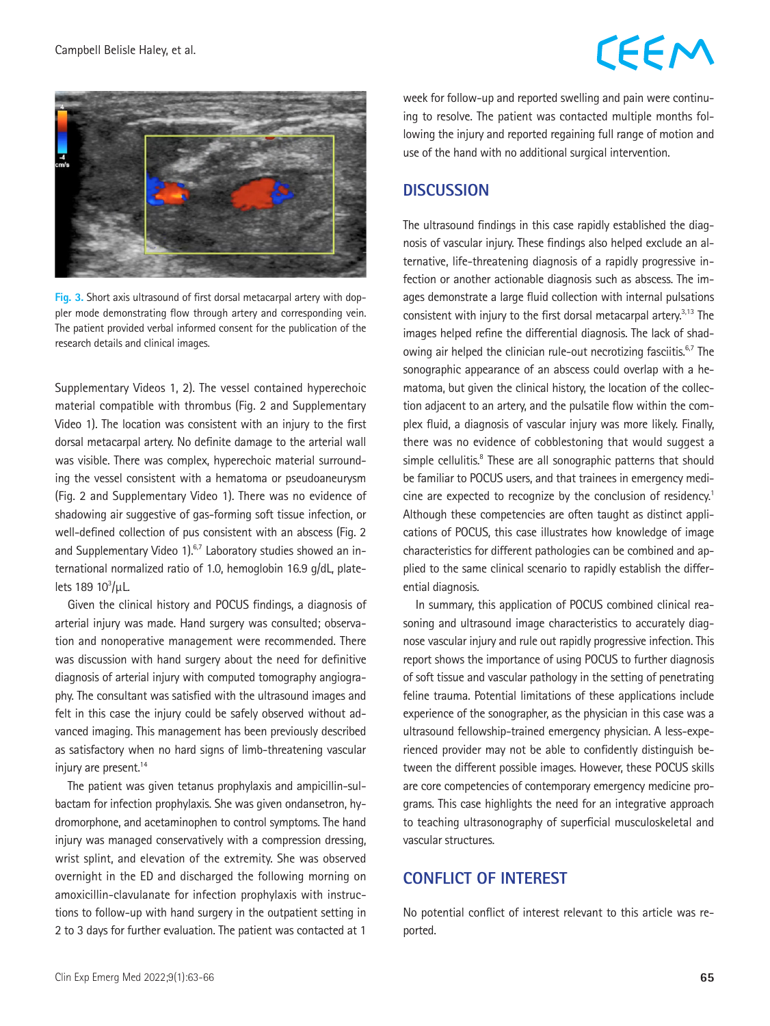### **CEEM**



**Fig. 3.** Short axis ultrasound of first dorsal metacarpal artery with doppler mode demonstrating flow through artery and corresponding vein. The patient provided verbal informed consent for the publication of the research details and clinical images.

Supplementary Videos 1, 2). The vessel contained hyperechoic material compatible with thrombus (Fig. 2 and Supplementary Video 1). The location was consistent with an injury to the first dorsal metacarpal artery. No definite damage to the arterial wall was visible. There was complex, hyperechoic material surrounding the vessel consistent with a hematoma or pseudoaneurysm (Fig. 2 and Supplementary Video 1). There was no evidence of shadowing air suggestive of gas-forming soft tissue infection, or well-defined collection of pus consistent with an abscess (Fig. 2 and Supplementary Video 1).<sup>6,7</sup> Laboratory studies showed an international normalized ratio of 1.0, hemoglobin 16.9 g/dL, platelets 189  $10^3/\mu$ L.

Given the clinical history and POCUS findings, a diagnosis of arterial injury was made. Hand surgery was consulted; observation and nonoperative management were recommended. There was discussion with hand surgery about the need for definitive diagnosis of arterial injury with computed tomography angiography. The consultant was satisfied with the ultrasound images and felt in this case the injury could be safely observed without advanced imaging. This management has been previously described as satisfactory when no hard signs of limb-threatening vascular injury are present.<sup>14</sup>

The patient was given tetanus prophylaxis and ampicillin-sulbactam for infection prophylaxis. She was given ondansetron, hydromorphone, and acetaminophen to control symptoms. The hand injury was managed conservatively with a compression dressing, wrist splint, and elevation of the extremity. She was observed overnight in the ED and discharged the following morning on amoxicillin-clavulanate for infection prophylaxis with instructions to follow-up with hand surgery in the outpatient setting in 2 to 3 days for further evaluation. The patient was contacted at 1

week for follow-up and reported swelling and pain were continuing to resolve. The patient was contacted multiple months following the injury and reported regaining full range of motion and use of the hand with no additional surgical intervention.

### **DISCUSSION**

The ultrasound findings in this case rapidly established the diagnosis of vascular injury. These findings also helped exclude an alternative, life-threatening diagnosis of a rapidly progressive infection or another actionable diagnosis such as abscess. The images demonstrate a large fluid collection with internal pulsations consistent with injury to the first dorsal metacarpal artery.<sup>3,13</sup> The images helped refine the differential diagnosis. The lack of shadowing air helped the clinician rule-out necrotizing fasciitis.<sup>6,7</sup> The sonographic appearance of an abscess could overlap with a hematoma, but given the clinical history, the location of the collection adjacent to an artery, and the pulsatile flow within the complex fluid, a diagnosis of vascular injury was more likely. Finally, there was no evidence of cobblestoning that would suggest a simple cellulitis.<sup>8</sup> These are all sonographic patterns that should be familiar to POCUS users, and that trainees in emergency medicine are expected to recognize by the conclusion of residency.1 Although these competencies are often taught as distinct applications of POCUS, this case illustrates how knowledge of image characteristics for different pathologies can be combined and applied to the same clinical scenario to rapidly establish the differential diagnosis.

In summary, this application of POCUS combined clinical reasoning and ultrasound image characteristics to accurately diagnose vascular injury and rule out rapidly progressive infection. This report shows the importance of using POCUS to further diagnosis of soft tissue and vascular pathology in the setting of penetrating feline trauma. Potential limitations of these applications include experience of the sonographer, as the physician in this case was a ultrasound fellowship-trained emergency physician. A less-experienced provider may not be able to confidently distinguish between the different possible images. However, these POCUS skills are core competencies of contemporary emergency medicine programs. This case highlights the need for an integrative approach to teaching ultrasonography of superficial musculoskeletal and vascular structures.

### **CONFLICT OF INTEREST**

No potential conflict of interest relevant to this article was reported.